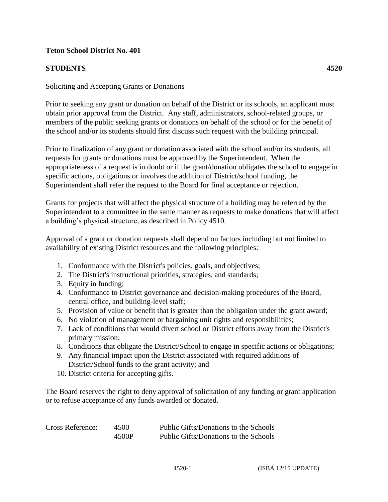## **Teton School District No. 401**

## **STUDENTS 4520**

## Soliciting and Accepting Grants or Donations

Prior to seeking any grant or donation on behalf of the District or its schools, an applicant must obtain prior approval from the District. Any staff, administrators, school-related groups, or members of the public seeking grants or donations on behalf of the school or for the benefit of the school and/or its students should first discuss such request with the building principal.

Prior to finalization of any grant or donation associated with the school and/or its students, all requests for grants or donations must be approved by the Superintendent. When the appropriateness of a request is in doubt or if the grant/donation obligates the school to engage in specific actions, obligations or involves the addition of District/school funding, the Superintendent shall refer the request to the Board for final acceptance or rejection.

Grants for projects that will affect the physical structure of a building may be referred by the Superintendent to a committee in the same manner as requests to make donations that will affect a building's physical structure, as described in Policy 4510.

Approval of a grant or donation requests shall depend on factors including but not limited to availability of existing District resources and the following principles:

- 1. Conformance with the District's policies, goals, and objectives;
- 2. The District's instructional priorities, strategies, and standards;
- 3. Equity in funding;
- 4. Conformance to District governance and decision-making procedures of the Board, central office, and building-level staff;
- 5. Provision of value or benefit that is greater than the obligation under the grant award;
- 6. No violation of management or bargaining unit rights and responsibilities;
- 7. Lack of conditions that would divert school or District efforts away from the District's primary mission;
- 8. Conditions that obligate the District/School to engage in specific actions or obligations;
- 9. Any financial impact upon the District associated with required additions of District/School funds to the grant activity; and
- 10. District criteria for accepting gifts.

The Board reserves the right to deny approval of solicitation of any funding or grant application or to refuse acceptance of any funds awarded or donated.

| Cross Reference: | 4500  | Public Gifts/Donations to the Schools |
|------------------|-------|---------------------------------------|
|                  | 4500P | Public Gifts/Donations to the Schools |